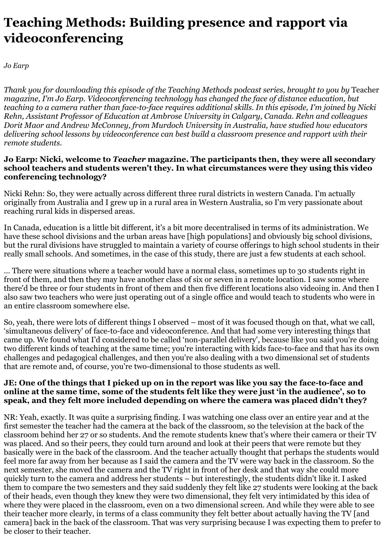# **Teaching Methods: Building presence and rapport via videoconferencing**

*Jo Earp*

*Thank you for downloading this episode of the Teaching Methods podcast series, brought to you by* Teacher *magazine, I'm Jo Earp. Videoconferencing technology has changed the face of distance education, but teaching to a camera rather than face-to-face requires additional skills. In this episode, I'm joined by Nicki Rehn, Assistant Professor of Education at Ambrose University in Calgary, Canada. Rehn and colleagues Dorit Maor and Andrew McConney, from Murdoch University in Australia, have studied how educators delivering school lessons by videoconference can best build a classroom presence and rapport with their remote students.*

## **Jo Earp: Nicki, welcome to** *Teacher* **magazine. The participants then, they were all secondary school teachers and students weren't they. In what circumstances were they using this video conferencing technology?**

Nicki Rehn: So, they were actually across different three rural districts in western Canada. I'm actually originally from Australia and I grew up in a rural area in Western Australia, so I'm very passionate about reaching rural kids in dispersed areas.

In Canada, education is a little bit different, it's a bit more decentralised in terms of its administration. We have these school divisions and the urban areas have [high populations] and obviously big school divisions, but the rural divisions have struggled to maintain a variety of course offerings to high school students in their really small schools. And sometimes, in the case of this study, there are just a few students at each school.

… There were situations where a teacher would have a normal class, sometimes up to 30 students right in front of them, and then they may have another class of six or seven in a remote location. I saw some where there'd be three or four students in front of them and then five different locations also videoing in. And then I also saw two teachers who were just operating out of a single office and would teach to students who were in an entire classroom somewhere else.

So, yeah, there were lots of different things I observed – most of it was focused though on that, what we call, 'simultaneous delivery' of face-to-face and videoconference. And that had some very interesting things that came up. We found what I'd considered to be called 'non-parallel delivery', because like you said you're doing two different kinds of teaching at the same time; you're interacting with kids face-to-face and that has its own challenges and pedagogical challenges, and then you're also dealing with a two dimensional set of students that are remote and, of course, you're two-dimensional to those students as well.

## **JE: One of the things that I picked up on in the report was like you say the face-to-face and online at the same time, some of the students felt like they were just 'in the audience', so to speak, and they felt more included depending on where the camera was placed didn't they?**

NR: Yeah, exactly. It was quite a surprising finding. I was watching one class over an entire year and at the first semester the teacher had the camera at the back of the classroom, so the television at the back of the classroom behind her 27 or so students. And the remote students knew that's where their camera or their TV was placed. And so their peers, they could turn around and look at their peers that were remote but they basically were in the back of the classroom. And the teacher actually thought that perhaps the students would feel more far away from her because as I said the camera and the TV were way back in the classroom. So the next semester, she moved the camera and the TV right in front of her desk and that way she could more quickly turn to the camera and address her students – but interestingly, the students didn't like it. I asked them to compare the two semesters and they said suddenly they felt like 27 students were looking at the back of their heads, even though they knew they were two dimensional, they felt very intimidated by this idea of where they were placed in the classroom, even on a two dimensional screen. And while they were able to see their teacher more clearly, in terms of a class community they felt better about actually having the TV [and camera] back in the back of the classroom. That was very surprising because I was expecting them to prefer to be closer to their teacher.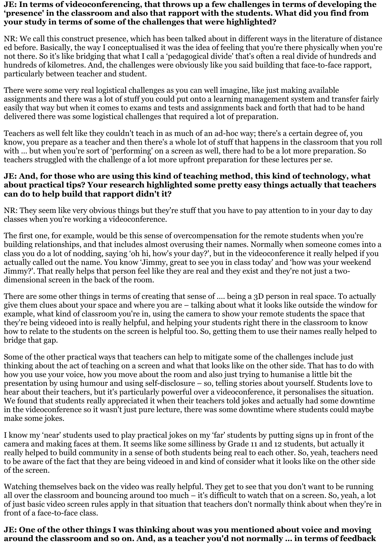#### **JE: In terms of videoconferencing, that throws up a few challenges in terms of developing the 'presence' in the classroom and also that rapport with the students. What did you find from your study in terms of some of the challenges that were highlighted?**

NR: We call this construct presence, which has been talked about in different ways in the literature of distance ed before. Basically, the way I conceptualised it was the idea of feeling that you're there physically when you're not there. So it's like bridging that what I call a 'pedagogical divide' that's often a real divide of hundreds and hundreds of kilometres. And, the challenges were obviously like you said building that face-to-face rapport, particularly between teacher and student.

There were some very real logistical challenges as you can well imagine, like just making available assignments and there was a lot of stuff you could put onto a learning management system and transfer fairly easily that way but when it comes to exams and tests and assignments back and forth that had to be hand delivered there was some logistical challenges that required a lot of preparation.

Teachers as well felt like they couldn't teach in as much of an ad-hoc way; there's a certain degree of, you know, you prepare as a teacher and then there's a whole lot of stuff that happens in the classroom that you roll with ... but when you're sort of 'performing' on a screen as well, there had to be a lot more preparation. So teachers struggled with the challenge of a lot more upfront preparation for these lectures per se.

## **JE: And, for those who are using this kind of teaching method, this kind of technology, what about practical tips? Your research highlighted some pretty easy things actually that teachers can do to help build that rapport didn't it?**

NR: They seem like very obvious things but they're stuff that you have to pay attention to in your day to day classes when you're working a videoconference.

The first one, for example, would be this sense of overcompensation for the remote students when you're building relationships, and that includes almost overusing their names. Normally when someone comes into a class you do a lot of nodding, saying 'oh hi, how's your day?', but in the videoconference it really helped if you actually called out the name. You know 'Jimmy, great to see you in class today' and 'how was your weekend Jimmy?'. That really helps that person feel like they are real and they exist and they're not just a twodimensional screen in the back of the room.

There are some other things in terms of creating that sense of …. being a 3D person in real space. To actually give them clues about your space and where you are – talking about what it looks like outside the window for example, what kind of classroom you're in, using the camera to show your remote students the space that they're being videoed into is really helpful, and helping your students right there in the classroom to know how to relate to the students on the screen is helpful too. So, getting them to use their names really helped to bridge that gap.

Some of the other practical ways that teachers can help to mitigate some of the challenges include just thinking about the act of teaching on a screen and what that looks like on the other side. That has to do with how you use your voice, how you move about the room and also just trying to humanise a little bit the presentation by using humour and using self-disclosure – so, telling stories about yourself. Students love to hear about their teachers, but it's particularly powerful over a videoconference, it personalises the situation. We found that students really appreciated it when their teachers told jokes and actually had some downtime in the videoconference so it wasn't just pure lecture, there was some downtime where students could maybe make some jokes.

I know my 'near' students used to play practical jokes on my 'far' students by putting signs up in front of the camera and making faces at them. It seems like some silliness by Grade 11 and 12 students, but actually it really helped to build community in a sense of both students being real to each other. So, yeah, teachers need to be aware of the fact that they are being videoed in and kind of consider what it looks like on the other side of the screen.

Watching themselves back on the video was really helpful. They get to see that you don't want to be running all over the classroom and bouncing around too much – it's difficult to watch that on a screen. So, yeah, a lot of just basic video screen rules apply in that situation that teachers don't normally think about when they're in front of a face-to-face class.

## **JE: One of the other things I was thinking about was you mentioned about voice and moving around the classroom and so on. And, as a teacher you'd not normally … in terms of feedback**